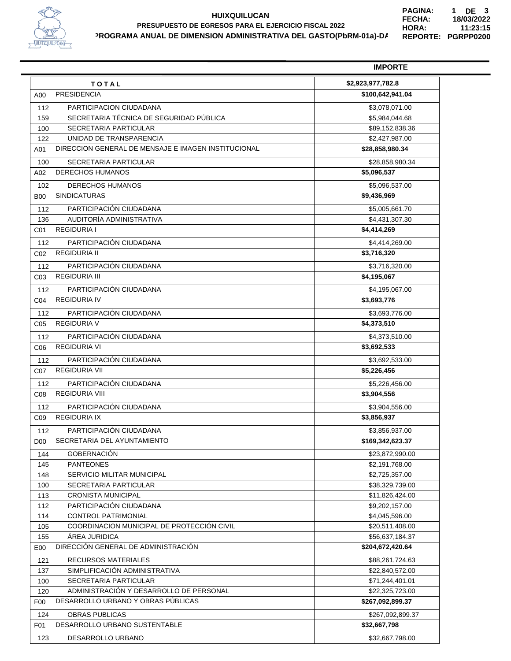

## **HUIXQUILUCAN PROGRAMA ANUAL DE DIMENSION ADMINISTRATIVA DEL GASTO(PbRM-01a)-DA PRESUPUESTO DE EGRESOS PARA EL EJERCICIO FISCAL 2022**

**PGRPP0200 REPORTE: 11:23:15 18/03/2022 PAGINA: FECHA: HORA: 1 DE 3**

|                |                                                     | <b>IMPORTE</b>    |
|----------------|-----------------------------------------------------|-------------------|
|                | TOTAL                                               | \$2,923,977,782.8 |
| A00            | <b>PRESIDENCIA</b>                                  | \$100,642,941.04  |
| 112            | PARTICIPACION CIUDADANA                             | \$3,078,071.00    |
| 159            | SECRETARIA TÉCNICA DE SEGURIDAD PÚBLICA             | \$5,984,044.68    |
| 100            | SECRETARIA PARTICULAR                               | \$89,152,838.36   |
| 122            | UNIDAD DE TRANSPARENCIA                             | \$2,427,987.00    |
| A01            | DIRECCION GENERAL DE MENSAJE E IMAGEN INSTITUCIONAL | \$28,858,980.34   |
| 100            | SECRETARIA PARTICULAR                               | \$28,858,980.34   |
| A02            | <b>DERECHOS HUMANOS</b>                             | \$5,096,537       |
| 102            | <b>DERECHOS HUMANOS</b>                             | \$5,096,537.00    |
| <b>B00</b>     | <b>SINDICATURAS</b>                                 | \$9,436,969       |
|                |                                                     |                   |
| 112            | PARTICIPACIÓN CIUDADANA                             | \$5,005,661.70    |
| 136            | AUDITORÍA ADMINISTRATIVA<br><b>REGIDURIA I</b>      | \$4,431,307.30    |
| C01            |                                                     | \$4,414,269       |
| 112            | PARTICIPACIÓN CIUDADANA                             | \$4,414,269.00    |
| C02            | <b>REGIDURIA II</b>                                 | \$3,716,320       |
| 112            | PARTICIPACIÓN CIUDADANA                             | \$3,716,320.00    |
| C03            | <b>REGIDURIA III</b>                                | \$4,195,067       |
| 112            | PARTICIPACIÓN CIUDADANA                             | \$4,195,067.00    |
| C04            | <b>REGIDURIA IV</b>                                 | \$3,693,776       |
| 112            | PARTICIPACIÓN CIUDADANA                             | \$3,693,776.00    |
| C05            | <b>REGIDURIA V</b>                                  | \$4,373,510       |
| 112            | PARTICIPACIÓN CIUDADANA                             | \$4,373,510.00    |
| C06            | <b>REGIDURIA VI</b>                                 | \$3,692,533       |
|                |                                                     |                   |
| 112            | PARTICIPACIÓN CIUDADANA                             | \$3,692,533.00    |
| C07            | <b>REGIDURIA VII</b>                                | \$5,226,456       |
| 112            | PARTICIPACIÓN CIUDADANA                             | \$5,226,456.00    |
| C08            | <b>REGIDURIA VIII</b>                               | \$3,904,556       |
| 112            | PARTICIPACIÓN CIUDADANA                             | \$3,904,556.00    |
| C09            | <b>REGIDURIA IX</b>                                 | \$3,856,937       |
| 112            | PARTICIPACIÓN CIUDADANA                             | \$3,856,937.00    |
| D00            | SECRETARIA DEL AYUNTAMIENTO                         | \$169,342,623.37  |
| 144            | <b>GOBERNACIÓN</b>                                  | \$23,872,990.00   |
| 145            | <b>PANTEONES</b>                                    | \$2,191,768.00    |
| 148            | <b>SERVICIO MILITAR MUNICIPAL</b>                   | \$2,725,357.00    |
| 100            | SECRETARIA PARTICULAR                               | \$38,329,739.00   |
| 113            | <b>CRONISTA MUNICIPAL</b>                           | \$11,826,424.00   |
| 112            | PARTICIPACIÓN CIUDADANA                             | \$9,202,157.00    |
| 114            | <b>CONTROL PATRIMONIAL</b>                          | \$4,045,596.00    |
| 105            | COORDINACION MUNICIPAL DE PROTECCIÓN CIVIL          | \$20,511,408.00   |
| 155            | ÁREA JURIDICA                                       | \$56,637,184.37   |
| E00            | DIRECCIÓN GENERAL DE ADMINISTRACIÓN                 | \$204,672,420.64  |
| 121            | RECURSOS MATERIALES                                 | \$88,261,724.63   |
| 137            | SIMPLIFICACION ADMINISTRATIVA                       | \$22,840,572.00   |
| 100            | SECRETARIA PARTICULAR                               | \$71,244,401.01   |
| 120            | ADMINISTRACIÓN Y DESARROLLO DE PERSONAL             | \$22,325,723.00   |
| F <sub>0</sub> | DESARROLLO URBANO Y OBRAS PÚBLICAS                  | \$267,092,899.37  |
| 124            | <b>OBRAS PUBLICAS</b>                               | \$267,092,899.37  |
| F01            | DESARROLLO URBANO SUSTENTABLE                       | \$32,667,798      |
|                |                                                     |                   |
| 123            | DESARROLLO URBANO                                   | \$32,667,798.00   |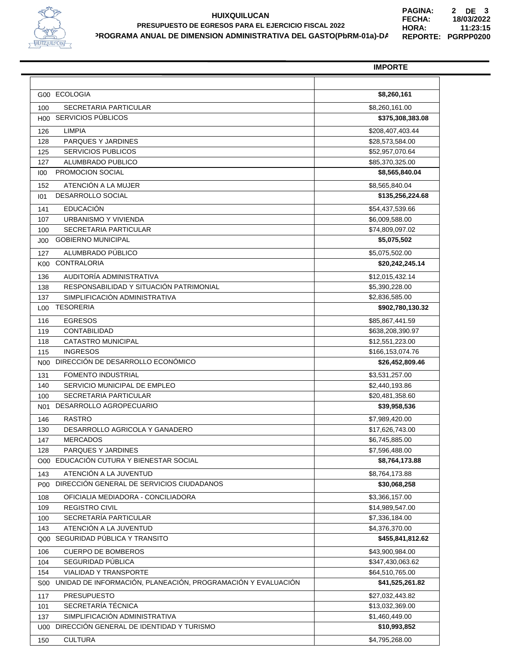

## **HUIXQUILUCAN PROGRAMA ANUAL DE DIMENSION ADMINISTRATIVA DEL GASTO(PbRM-01a)-DA PRESUPUESTO DE EGRESOS PARA EL EJERCICIO FISCAL 2022**

**PGRPP0200 REPORTE: 11:23:15 18/03/2022 PAGINA: FECHA: HORA: 2 DE 3**

|                 |                                                              | <b>IMPORTE</b>                      |
|-----------------|--------------------------------------------------------------|-------------------------------------|
|                 |                                                              |                                     |
| G <sub>00</sub> | <b>ECOLOGIA</b>                                              | \$8,260,161                         |
| 100             | SECRETARIA PARTICULAR                                        | \$8,260,161.00                      |
| H00             | SERVICIOS PÚBLICOS                                           | \$375,308,383.08                    |
| 126             | <b>LIMPIA</b>                                                | \$208,407,403.44                    |
| 128             | PARQUES Y JARDINES                                           | \$28,573,584.00                     |
| 125             | <b>SERVICIOS PUBLICOS</b>                                    | \$52,957,070.64                     |
| 127             | ALUMBRADO PUBLICO                                            | \$85,370,325.00                     |
| 100             | <b>PROMOCION SOCIAL</b>                                      | \$8,565,840.04                      |
| 152             | ATENCIÓN A LA MUJER                                          | \$8,565,840.04                      |
| 101             | DESARROLLO SOCIAL                                            | \$135,256,224.68                    |
| 141             | <b>EDUCACIÓN</b>                                             | \$54,437,539.66                     |
| 107             | URBANISMO Y VIVIENDA                                         | \$6,009,588.00                      |
| 100             | SECRETARIA PARTICULAR                                        | \$74,809,097.02                     |
| J00             | <b>GOBIERNO MUNICIPAL</b>                                    | \$5,075,502                         |
| 127             | ALUMBRADO PÚBLICO                                            | \$5,075,502.00                      |
| K00             | <b>CONTRALORIA</b>                                           | \$20,242,245.14                     |
| 136             | AUDITORÍA ADMINISTRATIVA                                     | \$12,015,432.14                     |
| 138             | RESPONSABILIDAD Y SITUACIÓN PATRIMONIAL                      | \$5,390,228.00                      |
| 137             | SIMPLIFICACIÓN ADMINISTRATIVA                                | \$2,836,585.00                      |
| L00             | <b>TESORERIA</b>                                             | \$902,780,130.32                    |
| 116             | <b>EGRESOS</b>                                               | \$85,867,441.59                     |
| 119             | <b>CONTABILIDAD</b>                                          | \$638,208,390.97                    |
| 118             | <b>CATASTRO MUNICIPAL</b>                                    | \$12,551,223.00                     |
| 115             | <b>INGRESOS</b>                                              | \$166,153,074.76                    |
| N00             | DIRECCIÓN DE DESARROLLO ECONÓMICO                            | \$26,452,809.46                     |
| 131             | <b>FOMENTO INDUSTRIAL</b>                                    | \$3,531,257.00                      |
| 140             | SERVICIO MUNICIPAL DE EMPLEO                                 | \$2,440,193.86                      |
| 100             | <b>SECRETARIA PARTICULAR</b>                                 | \$20,481,358.60                     |
| N01             | DESARROLLO AGROPECUARIO                                      | \$39,958,536                        |
| 146             | <b>RASTRO</b>                                                | \$7,989,420.00                      |
| 130             | DESARROLLO AGRICOLA Y GANADERO                               | \$17,626,743.00                     |
| 147             | <b>MERCADOS</b>                                              | \$6,745,885.00                      |
| 128             | PARQUES Y JARDINES                                           | \$7,596,488.00                      |
| O00             | EDUCACIÓN CUTURA Y BIENESTAR SOCIAL                          | \$8,764,173.88                      |
| 143             | ATENCIÓN A LA JUVENTUD                                       | \$8,764,173.88                      |
| P00             | DIRECCIÓN GENERAL DE SERVICIOS CIUDADANOS                    | \$30,068,258                        |
|                 | OFICIALIA MEDIADORA - CONCILIADORA                           | \$3,366,157.00                      |
| 108<br>109      | <b>REGISTRO CIVIL</b>                                        | \$14,989,547.00                     |
| 100             | SECRETARÍA PARTICULAR                                        | \$7,336,184.00                      |
| 143             | ATENCIÓN A LA JUVENTUD                                       | \$4,376,370.00                      |
| Q00             | SEGURIDAD PÚBLICA Y TRANSITO                                 | \$455.841.812.62                    |
|                 |                                                              |                                     |
| 106             | <b>CUERPO DE BOMBEROS</b><br>SEGURIDAD PÚBLICA               | \$43,900,984.00<br>\$347,430,063.62 |
| 104             | <b>VIALIDAD Y TRANSPORTE</b>                                 | \$64,510,765.00                     |
| 154<br>S00      | UNIDAD DE INFORMACIÓN, PLANEACIÓN, PROGRAMACIÓN Y EVALUACIÓN | \$41,525,261.82                     |
|                 |                                                              |                                     |
| 117             | <b>PRESUPUESTO</b><br>SECRETARÍA TÉCNICA                     | \$27,032,443.82<br>\$13,032,369.00  |
| 101<br>137      | SIMPLIFICACIÓN ADMINISTRATIVA                                | \$1,460,449.00                      |
|                 | DIRECCION GENERAL DE IDENTIDAD Y TURISMO                     | \$10,993,852                        |
| U00             |                                                              |                                     |
| 150             | <b>CULTURA</b>                                               | \$4,795,268.00                      |